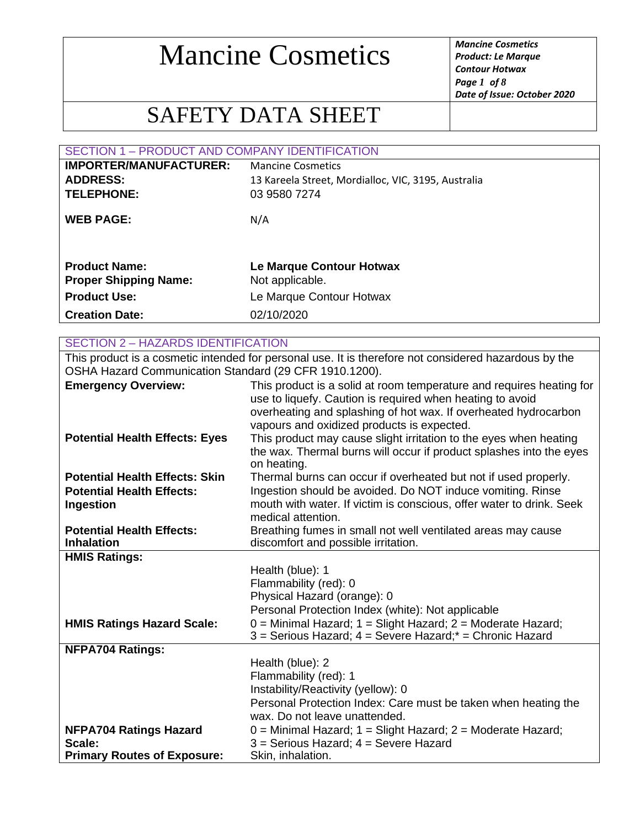*Product: Le Marque Contour Hotwax Page 1 of 8 Date of Issue: October 2020*

### SAFETY DATA SHEET

| <b>SECTION 1 - PRODUCT AND COMPANY IDENTIFICATION</b> |                                                     |  |
|-------------------------------------------------------|-----------------------------------------------------|--|
| <b>IMPORTER/MANUFACTURER:</b>                         | <b>Mancine Cosmetics</b>                            |  |
| <b>ADDRESS:</b>                                       | 13 Kareela Street, Mordialloc, VIC, 3195, Australia |  |
| <b>TELEPHONE:</b>                                     | 03 9580 7274                                        |  |
| <b>WEB PAGE:</b>                                      | N/A                                                 |  |
| <b>Product Name:</b><br><b>Proper Shipping Name:</b>  | Le Marque Contour Hotwax<br>Not applicable.         |  |
| <b>Product Use:</b>                                   | Le Marque Contour Hotwax                            |  |
| <b>Creation Date:</b>                                 | 02/10/2020                                          |  |
|                                                       |                                                     |  |
| <b>SECTION 2 - HAZARDS IDENTIFICATION</b>             |                                                     |  |

This product is a cosmetic intended for personal use. It is therefore not considered hazardous by the OSHA Hazard Communication Standard (29 CFR 1910.1200).

| <b>Emergency Overview:</b>            | This product is a solid at room temperature and requires heating for                                                                     |
|---------------------------------------|------------------------------------------------------------------------------------------------------------------------------------------|
|                                       | use to liquefy. Caution is required when heating to avoid                                                                                |
|                                       | overheating and splashing of hot wax. If overheated hydrocarbon                                                                          |
|                                       | vapours and oxidized products is expected.                                                                                               |
| <b>Potential Health Effects: Eyes</b> | This product may cause slight irritation to the eyes when heating<br>the wax. Thermal burns will occur if product splashes into the eyes |
|                                       | on heating.                                                                                                                              |
| <b>Potential Health Effects: Skin</b> | Thermal burns can occur if overheated but not if used properly.                                                                          |
| <b>Potential Health Effects:</b>      | Ingestion should be avoided. Do NOT induce vomiting. Rinse                                                                               |
| Ingestion                             | mouth with water. If victim is conscious, offer water to drink. Seek                                                                     |
|                                       | medical attention.                                                                                                                       |
| <b>Potential Health Effects:</b>      | Breathing fumes in small not well ventilated areas may cause                                                                             |
| <b>Inhalation</b>                     | discomfort and possible irritation.                                                                                                      |
| <b>HMIS Ratings:</b>                  |                                                                                                                                          |
|                                       | Health (blue): 1                                                                                                                         |
|                                       | Flammability (red): 0                                                                                                                    |
|                                       | Physical Hazard (orange): 0                                                                                                              |
|                                       | Personal Protection Index (white): Not applicable                                                                                        |
| <b>HMIS Ratings Hazard Scale:</b>     | $0 =$ Minimal Hazard; $1 =$ Slight Hazard; $2 =$ Moderate Hazard;                                                                        |
|                                       | 3 = Serious Hazard; 4 = Severe Hazard;* = Chronic Hazard                                                                                 |
| <b>NFPA704 Ratings:</b>               | Health (blue): 2                                                                                                                         |
|                                       | Flammability (red): 1                                                                                                                    |
|                                       | Instability/Reactivity (yellow): 0                                                                                                       |
|                                       | Personal Protection Index: Care must be taken when heating the                                                                           |
|                                       | wax. Do not leave unattended.                                                                                                            |
| <b>NFPA704 Ratings Hazard</b>         | $0 =$ Minimal Hazard; $1 =$ Slight Hazard; $2 =$ Moderate Hazard;                                                                        |
| Scale:                                | 3 = Serious Hazard; 4 = Severe Hazard                                                                                                    |
| <b>Primary Routes of Exposure:</b>    | Skin, inhalation.                                                                                                                        |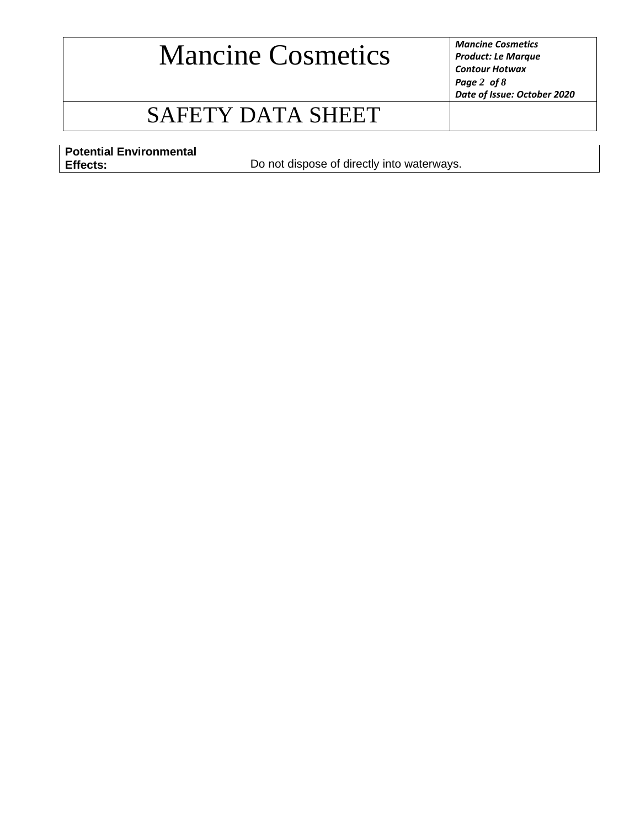*Product: Le Marque Contour Hotwax Page 2 of 8 Date of Issue: October 2020*

### SAFETY DATA SHEET

**Potential Environmental** 

**Effects:** Do not dispose of directly into waterways.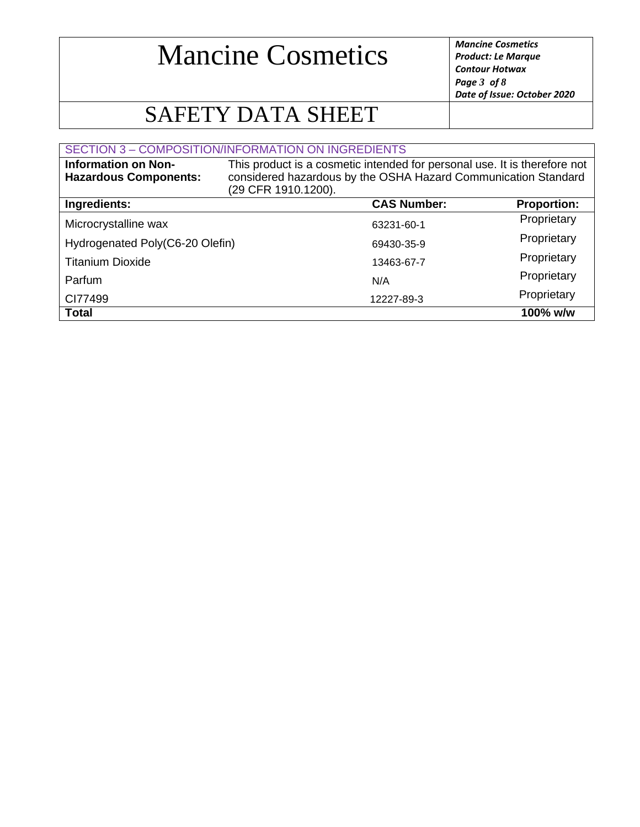*Product: Le Marque Contour Hotwax Page 3 of 8 Date of Issue: October 2020*

### SAFETY DATA SHEET

#### SECTION 3 – COMPOSITION/INFORMATION ON INGREDIENTS

| <b>Information on Non-</b><br><b>Hazardous Components:</b> | This product is a cosmetic intended for personal use. It is therefore not<br>considered hazardous by the OSHA Hazard Communication Standard<br>(29 CFR 1910.1200). |                    |                    |
|------------------------------------------------------------|--------------------------------------------------------------------------------------------------------------------------------------------------------------------|--------------------|--------------------|
| Ingredients:                                               |                                                                                                                                                                    | <b>CAS Number:</b> | <b>Proportion:</b> |
| Microcrystalline wax                                       |                                                                                                                                                                    | 63231-60-1         | Proprietary        |
| Hydrogenated Poly(C6-20 Olefin)                            |                                                                                                                                                                    | 69430-35-9         | Proprietary        |
| <b>Titanium Dioxide</b>                                    |                                                                                                                                                                    | 13463-67-7         | Proprietary        |
| Parfum                                                     |                                                                                                                                                                    | N/A                | Proprietary        |
| CI77499                                                    |                                                                                                                                                                    | 12227-89-3         | Proprietary        |
| <b>Total</b>                                               |                                                                                                                                                                    |                    | $100\%$ w/w        |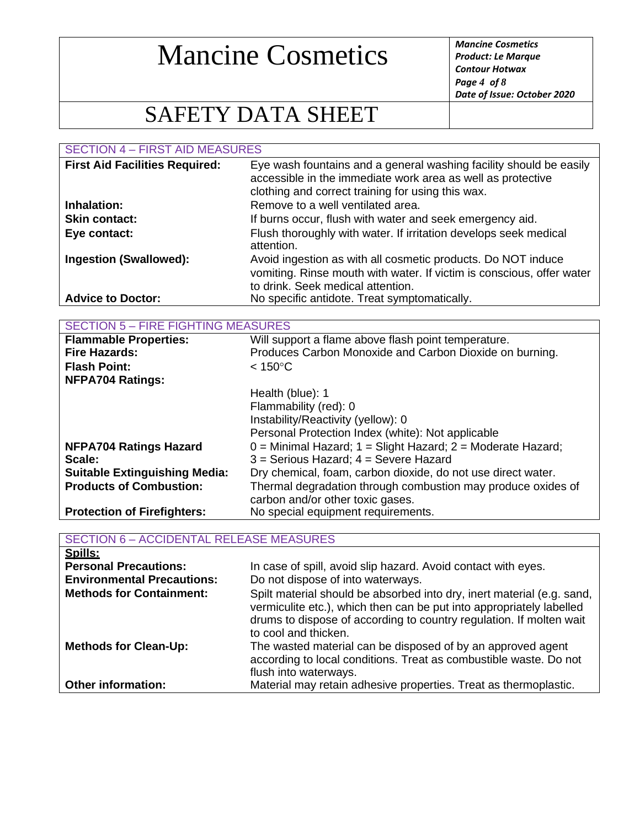*Product: Le Marque Contour Hotwax Page 4 of 8 Date of Issue: October 2020*

### SAFETY DATA SHEET

SECTION 4 – FIRST AID MEASURES

| <b>First Aid Facilities Required:</b> | Eye wash fountains and a general washing facility should be easily<br>accessible in the immediate work area as well as protective<br>clothing and correct training for using this wax. |
|---------------------------------------|----------------------------------------------------------------------------------------------------------------------------------------------------------------------------------------|
| Inhalation:                           | Remove to a well ventilated area.                                                                                                                                                      |
| <b>Skin contact:</b>                  | If burns occur, flush with water and seek emergency aid.                                                                                                                               |
| Eye contact:                          | Flush thoroughly with water. If irritation develops seek medical<br>attention.                                                                                                         |
| <b>Ingestion (Swallowed):</b>         | Avoid ingestion as with all cosmetic products. Do NOT induce<br>vomiting. Rinse mouth with water. If victim is conscious, offer water<br>to drink. Seek medical attention.             |
| <b>Advice to Doctor:</b>              | No specific antidote. Treat symptomatically.                                                                                                                                           |

|  |  | <b>SECTION 5 – FIRE FIGHTING MEASURES</b> |
|--|--|-------------------------------------------|
|--|--|-------------------------------------------|

| <b>Flammable Properties:</b>         | Will support a flame above flash point temperature.               |  |
|--------------------------------------|-------------------------------------------------------------------|--|
| <b>Fire Hazards:</b>                 | Produces Carbon Monoxide and Carbon Dioxide on burning.           |  |
| <b>Flash Point:</b>                  | $< 150^{\circ}$ C                                                 |  |
| <b>NFPA704 Ratings:</b>              |                                                                   |  |
|                                      | Health (blue): 1                                                  |  |
|                                      | Flammability (red): 0                                             |  |
|                                      | Instability/Reactivity (yellow): 0                                |  |
|                                      | Personal Protection Index (white): Not applicable                 |  |
| <b>NFPA704 Ratings Hazard</b>        | $0 =$ Minimal Hazard; $1 =$ Slight Hazard; $2 =$ Moderate Hazard; |  |
| Scale:                               | $3$ = Serious Hazard; $4$ = Severe Hazard                         |  |
| <b>Suitable Extinguishing Media:</b> | Dry chemical, foam, carbon dioxide, do not use direct water.      |  |
| <b>Products of Combustion:</b>       | Thermal degradation through combustion may produce oxides of      |  |
|                                      | carbon and/or other toxic gases.                                  |  |
| <b>Protection of Firefighters:</b>   | No special equipment requirements.                                |  |

| <b>SECTION 6 - ACCIDENTAL RELEASE MEASURES</b> |                                                                                                                                                                                                                                               |  |
|------------------------------------------------|-----------------------------------------------------------------------------------------------------------------------------------------------------------------------------------------------------------------------------------------------|--|
| Spills:                                        |                                                                                                                                                                                                                                               |  |
| <b>Personal Precautions:</b>                   | In case of spill, avoid slip hazard. Avoid contact with eyes.                                                                                                                                                                                 |  |
| <b>Environmental Precautions:</b>              | Do not dispose of into waterways.                                                                                                                                                                                                             |  |
| <b>Methods for Containment:</b>                | Spilt material should be absorbed into dry, inert material (e.g. sand,<br>vermiculite etc.), which then can be put into appropriately labelled<br>drums to dispose of according to country regulation. If molten wait<br>to cool and thicken. |  |
| <b>Methods for Clean-Up:</b>                   | The wasted material can be disposed of by an approved agent<br>according to local conditions. Treat as combustible waste. Do not<br>flush into waterways.                                                                                     |  |
| <b>Other information:</b>                      | Material may retain adhesive properties. Treat as thermoplastic.                                                                                                                                                                              |  |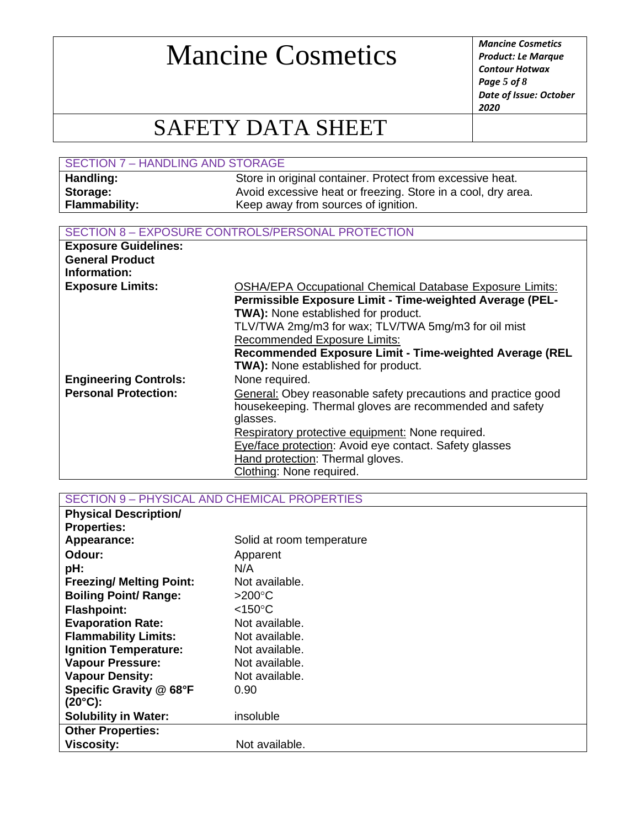*Product: Le Marque Contour Hotwax Page 5 of 8 Date of Issue: October 2020*

### SAFETY DATA SHEET

| <b>SECTION 7 - HANDLING AND STORAGE</b> |                                                              |  |
|-----------------------------------------|--------------------------------------------------------------|--|
| Handling:                               | Store in original container. Protect from excessive heat.    |  |
| Storage:                                | Avoid excessive heat or freezing. Store in a cool, dry area. |  |
| <b>Flammability:</b>                    | Keep away from sources of ignition.                          |  |

#### SECTION 8 – EXPOSURE CONTROLS/PERSONAL PROTECTION

| <b>Exposure Guidelines:</b>            |                                                                                                                                                                                                                                                                         |
|----------------------------------------|-------------------------------------------------------------------------------------------------------------------------------------------------------------------------------------------------------------------------------------------------------------------------|
| <b>General Product</b><br>Information: |                                                                                                                                                                                                                                                                         |
| <b>Exposure Limits:</b>                | <b>OSHA/EPA Occupational Chemical Database Exposure Limits:</b><br>Permissible Exposure Limit - Time-weighted Average (PEL-<br><b>TWA):</b> None established for product.<br>TLV/TWA 2mg/m3 for wax; TLV/TWA 5mg/m3 for oil mist<br><b>Recommended Exposure Limits:</b> |
|                                        | Recommended Exposure Limit - Time-weighted Average (REL                                                                                                                                                                                                                 |
|                                        | TWA): None established for product.                                                                                                                                                                                                                                     |
| <b>Engineering Controls:</b>           | None required.                                                                                                                                                                                                                                                          |
| <b>Personal Protection:</b>            | General: Obey reasonable safety precautions and practice good                                                                                                                                                                                                           |
|                                        | housekeeping. Thermal gloves are recommended and safety                                                                                                                                                                                                                 |
|                                        | glasses.                                                                                                                                                                                                                                                                |
|                                        | Respiratory protective equipment: None required.                                                                                                                                                                                                                        |
|                                        | Eye/face protection: Avoid eye contact. Safety glasses                                                                                                                                                                                                                  |
|                                        | Hand protection: Thermal gloves.                                                                                                                                                                                                                                        |
|                                        | Clothing: None required.                                                                                                                                                                                                                                                |

SECTION 9 – PHYSICAL AND CHEMICAL PROPERTIES

| <b>Physical Description/</b>    |                           |
|---------------------------------|---------------------------|
| <b>Properties:</b>              |                           |
| Appearance:                     | Solid at room temperature |
| Odour:                          | Apparent                  |
| pH:                             | N/A                       |
| <b>Freezing/ Melting Point:</b> | Not available.            |
| <b>Boiling Point/ Range:</b>    | $>200^{\circ}$ C          |
| <b>Flashpoint:</b>              | $<$ 150°C                 |
| <b>Evaporation Rate:</b>        | Not available.            |
| <b>Flammability Limits:</b>     | Not available.            |
| <b>Ignition Temperature:</b>    | Not available.            |
| <b>Vapour Pressure:</b>         | Not available.            |
| <b>Vapour Density:</b>          | Not available.            |
| Specific Gravity @ 68°F         | 0.90                      |
| $(20^{\circ}C)$ :               |                           |
| <b>Solubility in Water:</b>     | insoluble                 |
| <b>Other Properties:</b>        |                           |
| <b>Viscosity:</b>               | Not available.            |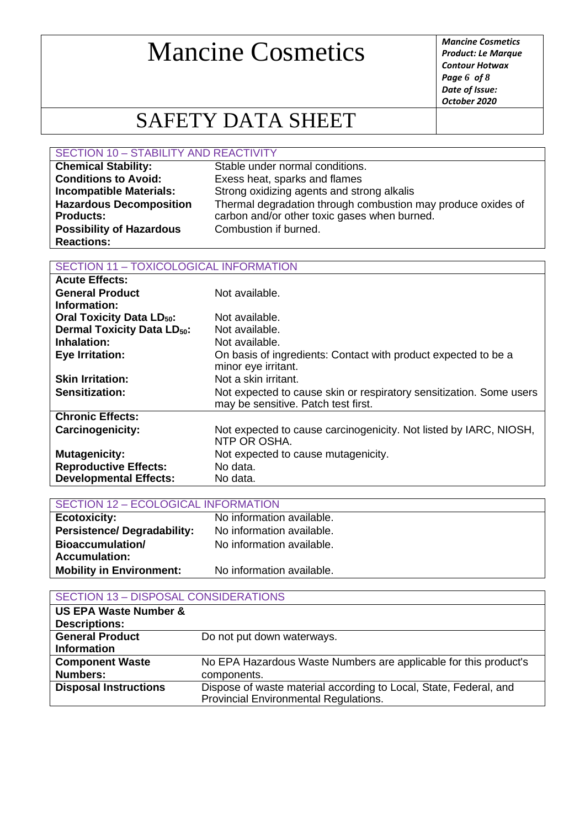*Product: Le Marque Contour Hotwax Page 6 of 8 Date of Issue: October 2020*

### SAFETY DATA SHEET

#### SECTION 10 – STABILITY AND REACTIVITY

| <b>Chemical Stability:</b>      | Stable under normal conditions.                              |
|---------------------------------|--------------------------------------------------------------|
| <b>Conditions to Avoid:</b>     | Exess heat, sparks and flames                                |
| <b>Incompatible Materials:</b>  | Strong oxidizing agents and strong alkalis                   |
| <b>Hazardous Decomposition</b>  | Thermal degradation through combustion may produce oxides of |
| <b>Products:</b>                | carbon and/or other toxic gases when burned.                 |
| <b>Possibility of Hazardous</b> | Combustion if burned.                                        |
| <b>Reactions:</b>               |                                                              |

#### SECTION 11 – TOXICOLOGICAL INFORMATION

| <b>Acute Effects:</b>                        |                                                                                                            |
|----------------------------------------------|------------------------------------------------------------------------------------------------------------|
| <b>General Product</b>                       | Not available.                                                                                             |
| Information:                                 |                                                                                                            |
| <b>Oral Toxicity Data LD<sub>50</sub>:</b>   | Not available.                                                                                             |
| <b>Dermal Toxicity Data LD<sub>50</sub>:</b> | Not available.                                                                                             |
| Inhalation:                                  | Not available.                                                                                             |
| <b>Eye Irritation:</b>                       | On basis of ingredients: Contact with product expected to be a                                             |
|                                              | minor eye irritant.                                                                                        |
| <b>Skin Irritation:</b>                      | Not a skin irritant.                                                                                       |
| <b>Sensitization:</b>                        | Not expected to cause skin or respiratory sensitization. Some users<br>may be sensitive. Patch test first. |
| <b>Chronic Effects:</b>                      |                                                                                                            |
| <b>Carcinogenicity:</b>                      | Not expected to cause carcinogenicity. Not listed by IARC, NIOSH,<br>NTP OR OSHA.                          |
| <b>Mutagenicity:</b>                         | Not expected to cause mutagenicity.                                                                        |
| <b>Reproductive Effects:</b>                 | No data.                                                                                                   |
| <b>Developmental Effects:</b>                | No data.                                                                                                   |

| <b>SECTION 12 - ECOLOGICAL INFORMATION</b> |                           |  |
|--------------------------------------------|---------------------------|--|
| <b>Ecotoxicity:</b>                        | No information available. |  |
| <b>Persistence/Degradability:</b>          | No information available. |  |
| <b>Bioaccumulation/</b>                    | No information available. |  |
| <b>Accumulation:</b>                       |                           |  |
| Mobility in Environment:                   | No information available. |  |

#### SECTION 13 – DISPOSAL CONSIDERATIONS

| <b>US EPA Waste Number &amp;</b> |                                                                                                            |
|----------------------------------|------------------------------------------------------------------------------------------------------------|
| <b>Descriptions:</b>             |                                                                                                            |
| <b>General Product</b>           | Do not put down waterways.                                                                                 |
| <b>Information</b>               |                                                                                                            |
| <b>Component Waste</b>           | No EPA Hazardous Waste Numbers are applicable for this product's                                           |
| <b>Numbers:</b>                  | components.                                                                                                |
| <b>Disposal Instructions</b>     | Dispose of waste material according to Local, State, Federal, and<br>Provincial Environmental Regulations. |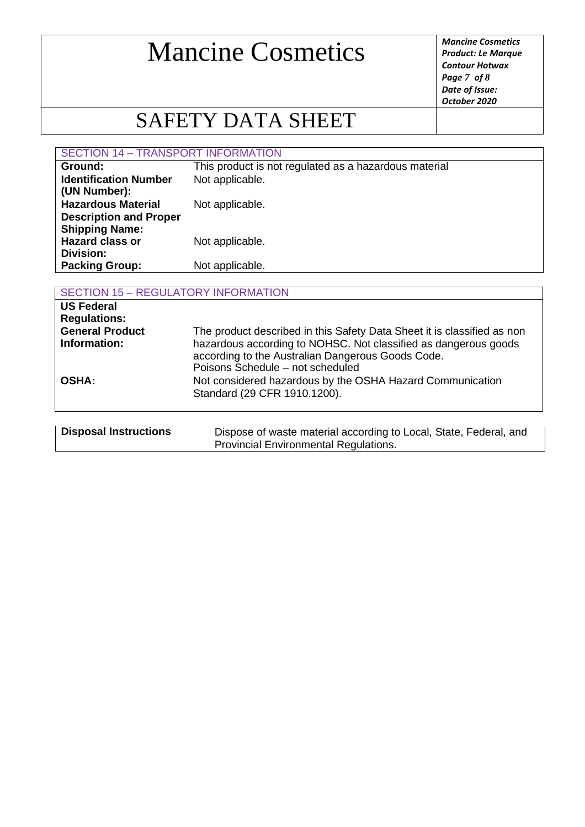*Product: Le Marque Contour Hotwax Page 7 of 8 Date of Issue: October 2020*

## SAFETY DATA SHEET

SECTION 14 – TRANSPORT INFORMATION

| Ground:                                                    | This product is not regulated as a hazardous material |
|------------------------------------------------------------|-------------------------------------------------------|
| <b>Identification Number</b><br>(UN Number):               | Not applicable.                                       |
| <b>Hazardous Material</b><br><b>Description and Proper</b> | Not applicable.                                       |
| <b>Shipping Name:</b><br><b>Hazard class or</b>            | Not applicable.                                       |
| Division:<br><b>Packing Group:</b>                         | Not applicable.                                       |

| <b>SECTION 15 - REGULATORY INFORMATION</b>                                         |                                                                                                                                                                                                                                     |  |
|------------------------------------------------------------------------------------|-------------------------------------------------------------------------------------------------------------------------------------------------------------------------------------------------------------------------------------|--|
| <b>US Federal</b><br><b>Regulations:</b><br><b>General Product</b><br>Information: | The product described in this Safety Data Sheet it is classified as non<br>hazardous according to NOHSC. Not classified as dangerous goods<br>according to the Australian Dangerous Goods Code.<br>Poisons Schedule - not scheduled |  |
| <b>OSHA:</b>                                                                       | Not considered hazardous by the OSHA Hazard Communication<br>Standard (29 CFR 1910.1200).                                                                                                                                           |  |
| <b>Disposal Instructions</b>                                                       | Dispose of waste material according to Local, State, Federal, and<br><b>Provincial Environmental Regulations.</b>                                                                                                                   |  |